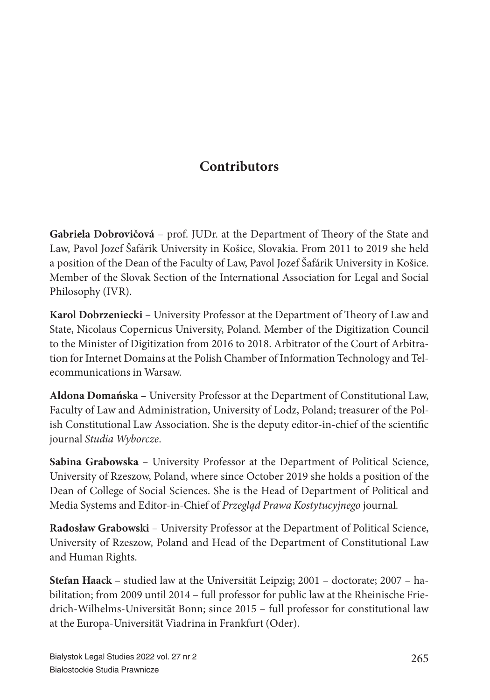## **Contributors**

**Gabriela Dobrovičová** – prof. JUDr. at the Department of Theory of the State and Law, Pavol Jozef Šafárik University in Košice, Slovakia. From 2011 to 2019 she held a position of the Dean of the Faculty of Law, Pavol Jozef Šafárik University in Košice. Member of the Slovak Section of the International Association for Legal and Social Philosophy (IVR).

**Karol Dobrzeniecki** – University Professor at the Department of Theory of Law and State, Nicolaus Copernicus University, Poland. Member of the Digitization Council to the Minister of Digitization from 2016 to 2018. Arbitrator of the Court of Arbitration for Internet Domains at the Polish Chamber of Information Technology and Telecommunications in Warsaw.

**Aldona Domańska** – University Professor at the Department of Constitutional Law, Faculty of Law and Administration, University of Lodz, Poland; treasurer of the Polish Constitutional Law Association. She is the deputy editor-in-chief of the scientific journal *Studia Wyborcze*.

**Sabina Grabowska** – University Professor at the Department of Political Science, University of Rzeszow, Poland, where since October 2019 she holds a position of the Dean of College of Social Sciences. She is the Head of Department of Political and Media Systems and Editor-in-Chief of *Przegląd Prawa Kostytucyjnego* journal*.*

**Radosław Grabowski** – University Professor at the Department of Political Science, University of Rzeszow, Poland and Head of the Department of Constitutional Law and Human Rights.

**Stefan Haack** – studied law at the Universität Leipzig; 2001 – doctorate; 2007 – habilitation; from 2009 until 2014 – full professor for public law at the Rheinische Friedrich-Wilhelms-Universität Bonn; since 2015 – full professor for constitutional law at the Europa-Universität Viadrina in Frankfurt (Oder).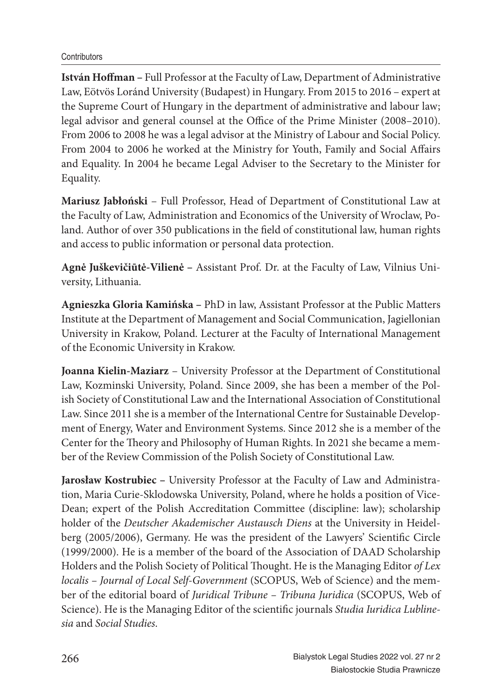**István Hoffman – Full Professor at the Faculty of Law, Department of Administrative** Law, Eötvös Loránd University (Budapest) in Hungary. From 2015 to 2016 – expert at the Supreme Court of Hungary in the department of administrative and labour law; legal advisor and general counsel at the Office of the Prime Minister (2008–2010). From 2006 to 2008 he was a legal advisor at the Ministry of Labour and Social Policy. From 2004 to 2006 he worked at the Ministry for Youth, Family and Social Affairs and Equality. In 2004 he became Legal Adviser to the Secretary to the Minister for Equality.

**Mariusz Jabłoński** – Full Professor, Head of Department of Constitutional Law at the Faculty of Law, Administration and Economics of the University of Wroclaw, Poland. Author of over 350 publications in the field of constitutional law, human rights and access to public information or personal data protection.

**Agnė Juškevičiūtė-Vilienė –** Assistant Prof. Dr. at the Faculty of Law, Vilnius University, Lithuania.

**Agnieszka Gloria Kamińska –** PhD in law, Assistant Professor at the Public Matters Institute at the Department of Management and Social Communication, Jagiellonian University in Krakow, Poland. Lecturer at the Faculty of International Management of the Economic University in Krakow.

**Joanna Kielin-Maziarz** – University Professor at the Department of Constitutional Law, Kozminski University, Poland. Since 2009, she has been a member of the Polish Society of Constitutional Law and the International Association of Constitutional Law. Since 2011 she is a member of the International Centre for Sustainable Development of Energy, Water and Environment Systems. Since 2012 she is a member of the Center for the Theory and Philosophy of Human Rights. In 2021 she became a member of the Review Commission of the Polish Society of Constitutional Law.

**Jarosław Kostrubiec –** University Professor at the Faculty of Law and Administration, Maria Curie-Sklodowska University, Poland, where he holds a position of Vice-Dean; expert of the Polish Accreditation Committee (discipline: law); scholarship holder of the *Deutscher Akademischer Austausch Diens* at the University in Heidelberg (2005/2006), Germany. He was the president of the Lawyers' Scientific Circle (1999/2000). He is a member of the board of the Association of DAAD Scholarship Holders and the Polish Society of Political Thought. He is the Managing Editor of Lex *localis – Journal of Local Self-Government* (SCOPUS, Web of Science) and the member of the editorial board of *Juridical Tribune – Tribuna Juridica* (SCOPUS, Web of Science). He is the Managing Editor of the scientific journals *Studia Iuridica Lubline sia* and *Social Studies*.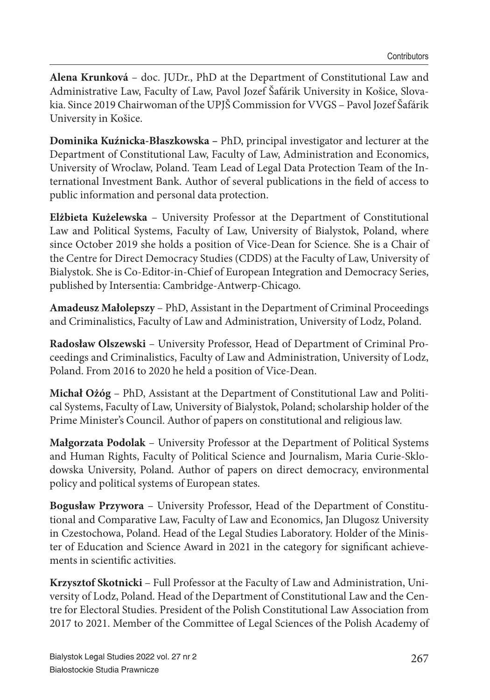**Alena Krunková** – doc. JUDr., PhD at the Department of Constitutional Law and Administrative Law, Faculty of Law, Pavol Jozef Šafárik University in Košice, Slovakia. Since 2019 Chairwoman of the UPJŠ Commission for VVGS – Pavol Jozef Šafárik University in Košice.

**Dominika Kuźnicka-Błaszkowska –** PhD, principal investigator and lecturer at the Department of Constitutional Law, Faculty of Law, Administration and Economics, University of Wroclaw, Poland. Team Lead of Legal Data Protection Team of the International Investment Bank. Author of several publications in the field of access to public information and personal data protection.

**Elżbieta Kużelewska** – University Professor at the Department of Constitutional Law and Political Systems, Faculty of Law, University of Bialystok, Poland, where since October 2019 she holds a position of Vice-Dean for Science. She is a Chair of the Centre for Direct Democracy Studies (CDDS) at the Faculty of Law, University of Bialystok. She is Co-Editor-in-Chief of European Integration and Democracy Series, published by Intersentia: Cambridge-Antwerp-Chicago.

**Amadeusz Małolepszy** – PhD, Assistant in the Department of Criminal Proceedings and Criminalistics, Faculty of Law and Administration, University of Lodz, Poland.

**Radosław Olszewski** – University Professor, Head of Department of Criminal Proceedings and Criminalistics, Faculty of Law and Administration, University of Lodz, Poland. From 2016 to 2020 he held a position of Vice-Dean.

**Michał Ożóg** – PhD, Assistant at the Department of Constitutional Law and Political Systems, Faculty of Law, University of Bialystok, Poland; scholarship holder of the Prime Minister's Council. Author of papers on constitutional and religious law.

**Małgorzata Podolak** – University Professor at the Department of Political Systems and Human Rights, Faculty of Political Science and Journalism, Maria Curie-Sklodowska University, Poland. Author of papers on direct democracy, environmental policy and political systems of European states.

**Bogusław Przywora** – University Professor, Head of the Department of Constitutional and Comparative Law, Faculty of Law and Economics, Jan Dlugosz University in Czestochowa, Poland. Head of the Legal Studies Laboratory. Holder of the Minister of Education and Science Award in 2021 in the category for significant achievements in scientific activities.

**Krzysztof Skotnicki** – Full Professor at the Faculty of Law and Administration, University of Lodz, Poland. Head of the Department of Constitutional Law and the Centre for Electoral Studies. President of the Polish Constitutional Law Association from 2017 to 2021. Member of the Committee of Legal Sciences of the Polish Academy of